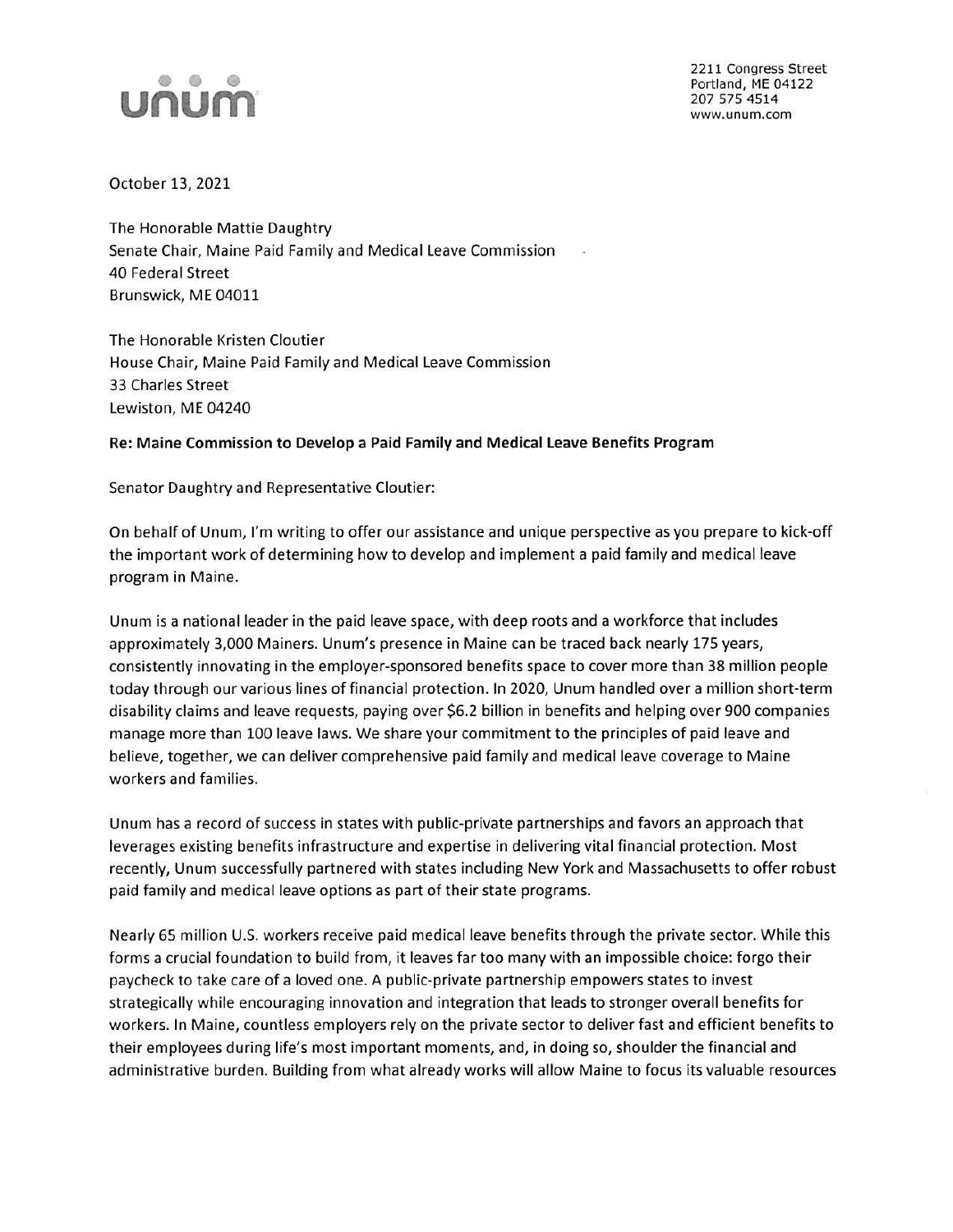

2211 Congress Street Portland, ME 04122 207 575 4514 www.unum.com

October 13, 2021

The Honorable Mattie Daughtry Senate Chair, Maine Paid Family and Medical Leave Commission 40 Federal Street Brunswick, ME 04011

The Honorable Kristen Cloutier House Chair, Maine Paid Family and Medical Leave Commission 33 Charles Street Lewiston, ME 04240

## **Re: Maine Commission to Develop a Paid Family and Medical Leave Benefits Program**

Senator Daughtry and Representative Cloutier:

On behalf of Unum, I'm writing to offer our assistance and unique perspective as you prepare to kick-off the important work of determining how to develop and implement a paid family and medical leave program in Maine.

Unum is a national leader in the paid leave space, with deep roots and a workforce that includes approximately 3,000 Mainers. Unum's presence in Maine can be traced back nearly 175 years, consistently innovating in the employer-sponsored benefits space to cover more than 38 million people today through our various lines of financial protection. In 2020, Unum handled over a million short-term disability claims and leave requests, paying over \$6.2 billion in benefits and helping over 900 companies manage more than 100 leave laws. We share your commitment to the principles of paid leave and believe, together, we can deliver comprehensive paid family and medical leave coverage to Maine workers and families.

Unum has a record of success in states with public-private partnerships and favors an approach that leverages existing benefits infrastructure and expertise in delivering vital financial protection. Most recently, Unum successfully partnered with states including New York and Massachusetts to offer robust paid family and medical leave options as part of their state programs.

Nearly 65 million U.S. workers receive paid medical leave benefits through the private sector. While this forms a crucial foundation to build from, it leaves far too many with an impossible choice: forgo their paycheck to take care of a loved one. A public-private partnership empowers states to invest strategically while encouraging innovation and integration that leads to stronger overall benefits for workers. In Maine, countless employers rely on the private sector to deliver fast and efficient benefits to their employees during life's most important moments, and, in doing so, shoulder the financial and administrative burden. Building from what already works will allow Maine to focus its valuable resources